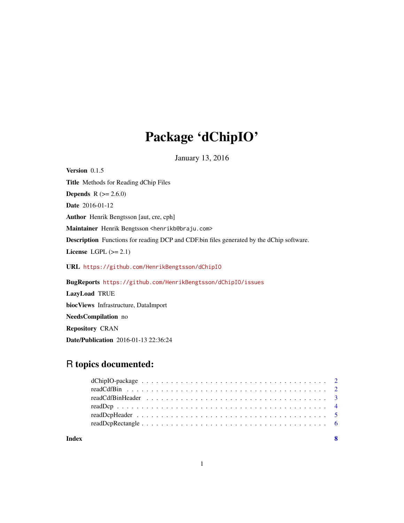# Package 'dChipIO'

January 13, 2016

<span id="page-0-0"></span>Version 0.1.5 Title Methods for Reading dChip Files **Depends**  $R (= 2.6.0)$ Date 2016-01-12 Author Henrik Bengtsson [aut, cre, cph] Maintainer Henrik Bengtsson <henrikb@braju.com> Description Functions for reading DCP and CDF.bin files generated by the dChip software. License LGPL  $(>= 2.1)$ URL <https://github.com/HenrikBengtsson/dChipIO> BugReports <https://github.com/HenrikBengtsson/dChipIO/issues> LazyLoad TRUE biocViews Infrastructure, DataImport NeedsCompilation no

Repository CRAN

Date/Publication 2016-01-13 22:36:24

# R topics documented:

1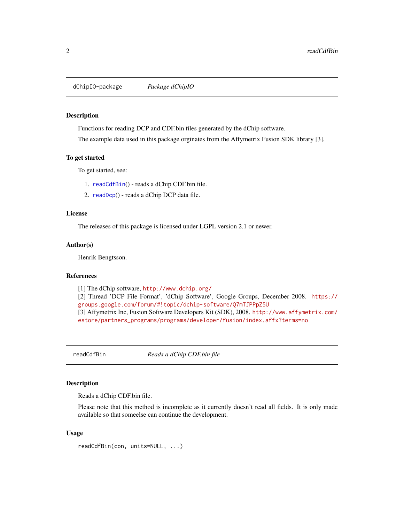<span id="page-1-0"></span>dChipIO-package *Package dChipIO*

#### Description

Functions for reading DCP and CDF.bin files generated by the dChip software.

The example data used in this package orginates from the Affymetrix Fusion SDK library [3].

#### To get started

To get started, see:

- 1. [readCdfBin](#page-1-1)() reads a dChip CDF.bin file.
- 2. [readDcp](#page-3-1)() reads a dChip DCP data file.

#### License

The releases of this package is licensed under LGPL version 2.1 or newer.

#### Author(s)

Henrik Bengtsson.

#### References

[1] The dChip software, <http://www.dchip.org/>

[2] Thread 'DCP File Format', 'dChip Software', Google Groups, December 2008. [https://](https://groups.google.com/forum/#!topic/dchip-software/Q7mTJPPpZ5U) [groups.google.com/forum/#!topic/dchip-software/Q7mTJPPpZ5U](https://groups.google.com/forum/#!topic/dchip-software/Q7mTJPPpZ5U) [3] Affymetrix Inc, Fusion Software Developers Kit (SDK), 2008. [http://www.affymetrix.com/](http://www.affymetrix.com/estore/partners_programs/programs/developer/fusion/index.affx?terms=no) [estore/partners\\_programs/programs/developer/fusion/index.affx?terms=no](http://www.affymetrix.com/estore/partners_programs/programs/developer/fusion/index.affx?terms=no)

<span id="page-1-1"></span>readCdfBin *Reads a dChip CDF.bin file*

#### Description

Reads a dChip CDF.bin file.

Please note that this method is incomplete as it currently doesn't read all fields. It is only made available so that someelse can continue the development.

#### Usage

readCdfBin(con, units=NULL, ...)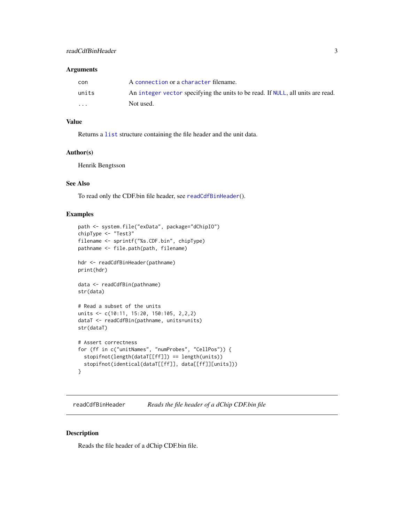#### <span id="page-2-0"></span>Arguments

| con                     | A connection or a character filename.                                           |
|-------------------------|---------------------------------------------------------------------------------|
| units                   | An integer vector specifying the units to be read. If NULL, all units are read. |
| $\cdot$ $\cdot$ $\cdot$ | Not used.                                                                       |

#### Value

Returns a [list](#page-0-0) structure containing the file header and the unit data.

#### Author(s)

Henrik Bengtsson

# See Also

To read only the CDF.bin file header, see [readCdfBinHeader](#page-2-1)().

# Examples

```
path <- system.file("exData", package="dChipIO")
chipType <- "Test3"
filename <- sprintf("%s.CDF.bin", chipType)
pathname <- file.path(path, filename)
hdr <- readCdfBinHeader(pathname)
print(hdr)
data <- readCdfBin(pathname)
str(data)
# Read a subset of the units
units <- c(10:11, 15:20, 150:105, 2,2,2)
dataT <- readCdfBin(pathname, units=units)
str(dataT)
# Assert correctness
for (ff in c("unitNames", "numProbes", "CellPos")) {
  stopifnot(length(dataT[[ff]]) == length(units))
  stopifnot(identical(dataT[[ff]], data[[ff]][units]))
}
```
<span id="page-2-1"></span>readCdfBinHeader *Reads the file header of a dChip CDF.bin file*

#### Description

Reads the file header of a dChip CDF.bin file.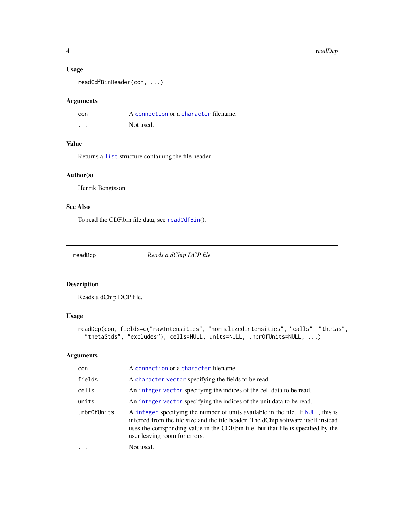#### 4 readDcp and the contract of the contract of the contract of the contract of the contract of the contract of the contract of the contract of the contract of the contract of the contract of the contract of the contract of

# Usage

readCdfBinHeader(con, ...)

#### Arguments

| con     | A connection or a character filename. |
|---------|---------------------------------------|
| $\cdot$ | Not used.                             |

# Value

Returns a [list](#page-0-0) structure containing the file header.

# Author(s)

Henrik Bengtsson

# See Also

To read the CDF.bin file data, see [readCdfBin](#page-1-1)().

<span id="page-3-1"></span>readDcp *Reads a dChip DCP file*

# Description

Reads a dChip DCP file.

# Usage

```
readDcp(con, fields=c("rawIntensities", "normalizedIntensities", "calls", "thetas",
  "thetaStds", "excludes"), cells=NULL, units=NULL, .nbrOfUnits=NULL, ...)
```
# Arguments

| con         | A connection or a character filename.                                                                                                                                                                                                                                                         |
|-------------|-----------------------------------------------------------------------------------------------------------------------------------------------------------------------------------------------------------------------------------------------------------------------------------------------|
| fields      | A character vector specifying the fields to be read.                                                                                                                                                                                                                                          |
| cells       | An integer vector specifying the indices of the cell data to be read.                                                                                                                                                                                                                         |
| units       | An integer vector specifying the indices of the unit data to be read.                                                                                                                                                                                                                         |
| .nbr0fUnits | A integer specifying the number of units available in the file. If NULL, this is<br>inferred from the file size and the file header. The dChip software itself instead<br>uses the corrsponding value in the CDF bin file, but that file is specified by the<br>user leaving room for errors. |
| $\ddots$ .  | Not used.                                                                                                                                                                                                                                                                                     |

<span id="page-3-0"></span>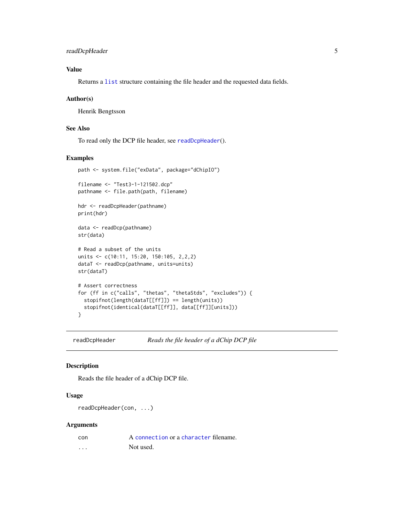# <span id="page-4-0"></span>readDcpHeader 5

# Value

Returns a [list](#page-0-0) structure containing the file header and the requested data fields.

#### Author(s)

Henrik Bengtsson

#### See Also

To read only the DCP file header, see [readDcpHeader](#page-4-1)().

#### Examples

```
path <- system.file("exData", package="dChipIO")
filename <- "Test3-1-121502.dcp"
pathname <- file.path(path, filename)
hdr <- readDcpHeader(pathname)
print(hdr)
data <- readDcp(pathname)
str(data)
# Read a subset of the units
units <- c(10:11, 15:20, 150:105, 2,2,2)
dataT <- readDcp(pathname, units=units)
str(dataT)
# Assert correctness
for (ff in c("calls", "thetas", "thetaStds", "excludes")) {
  stopifnot(length(dataT[[ff]]) == length(units))
  stopifnot(identical(dataT[[ff]], data[[ff]][units]))
}
```
<span id="page-4-1"></span>readDcpHeader *Reads the file header of a dChip DCP file*

#### Description

Reads the file header of a dChip DCP file.

#### Usage

readDcpHeader(con, ...)

#### Arguments

| con | A connection or a character filename. |
|-----|---------------------------------------|
| .   | Not used.                             |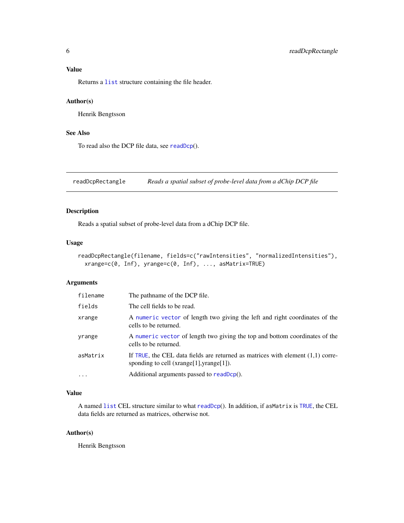# <span id="page-5-0"></span>Value

Returns a [list](#page-0-0) structure containing the file header.

#### Author(s)

Henrik Bengtsson

# See Also

To read also the DCP file data, see [readDcp](#page-3-1)().

readDcpRectangle *Reads a spatial subset of probe-level data from a dChip DCP file*

## Description

Reads a spatial subset of probe-level data from a dChip DCP file.

#### Usage

```
readDcpRectangle(filename, fields=c("rawIntensities", "normalizedIntensities"),
  xrange=c(0, Inf), yrange=c(0, Inf), ..., asMatrix=TRUE)
```
# Arguments

| filename | The pathname of the DCP file.                                                                                                 |
|----------|-------------------------------------------------------------------------------------------------------------------------------|
| fields   | The cell fields to be read.                                                                                                   |
| xrange   | A numeric vector of length two giving the left and right coordinates of the<br>cells to be returned.                          |
| yrange   | A numeric vector of length two giving the top and bottom coordinates of the<br>cells to be returned.                          |
| asMatrix | If TRUE, the CEL data fields are returned as matrices with element $(1,1)$ corre-<br>sponding to cell (xrange[1], yrange[1]). |
| $\cdot$  | Additional arguments passed to readDcp().                                                                                     |

# Value

A named [list](#page-0-0) CEL structure similar to what [readDcp](#page-3-1)(). In addition, if asMatrix is [TRUE](#page-0-0), the CEL data fields are returned as matrices, otherwise not.

#### Author(s)

Henrik Bengtsson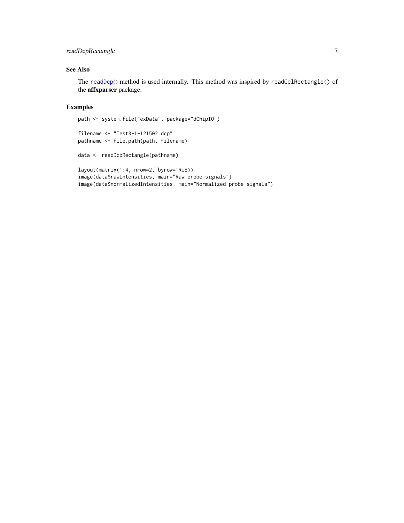# <span id="page-6-0"></span>readDcpRectangle 7

# See Also

The [readDcp](#page-3-1)() method is used internally. This method was inspired by readCelRectangle() of the affxparser package.

#### Examples

```
path <- system.file("exData", package="dChipIO")
```

```
filename <- "Test3-1-121502.dcp"
pathname <- file.path(path, filename)
```

```
data <- readDcpRectangle(pathname)
```

```
layout(matrix(1:4, nrow=2, byrow=TRUE))
image(data$rawIntensities, main="Raw probe signals")
image(data$normalizedIntensities, main="Normalized probe signals")
```